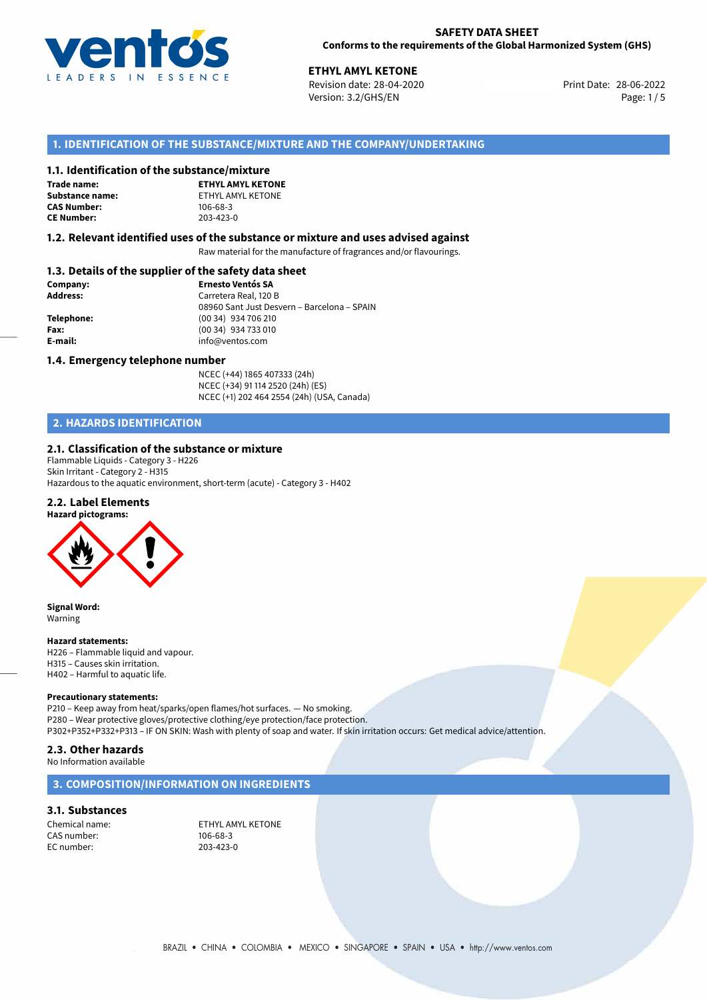

28-06-2022 **ETHYL AMYL KETONE** Revision date: 28-04-2020 Print Date: Version: 3.2/GHS/EN Page: 1/5

# **1. IDENTIFICATION OF THE SUBSTANCE/MIXTURE AND THE COMPANY/UNDERTAKING**

### **1.1. Identification of the substance/mixture**

**Trade name: CAS Number: CE Number:** 203-423-0

**ETHYL AMYL KETONE Substance name:** ETHYL AMYL KETONE<br> **CAS Number:** 106-68-3

### **1.2. Relevant identified uses of the substance or mixture and uses advised against**

Raw material for the manufacture of fragrances and/or flavourings.

# **1.3. Details of the supplier of the safety data sheet**

| Company:        | <b>Ernesto Ventós SA</b>                    |  |
|-----------------|---------------------------------------------|--|
| <b>Address:</b> | Carretera Real, 120 B                       |  |
|                 | 08960 Sant Just Desvern - Barcelona - SPAIN |  |
| Telephone:      | $(0034)$ 934 706 210                        |  |
| Fax:            | (00 34) 934 733 010                         |  |
| E-mail:         | info@ventos.com                             |  |
|                 |                                             |  |

### **1.4. Emergency telephone number**

NCEC (+44) 1865 407333 (24h) NCEC (+34) 91 114 2520 (24h) (ES) NCEC (+1) 202 464 2554 (24h) (USA, Canada)

# **2. HAZARDS IDENTIFICATION**

### **2.1. Classification of the substance or mixture**

Flammable Liquids - Category 3 - H226 Skin Irritant - Category 2 - H315 Hazardous to the aquatic environment, short-term (acute) - Category 3 - H402

## **2.2. Label Elements**

**Hazard pictograms:**



**Signal Word:** Warning

### **Hazard statements:**

H226 – Flammable liquid and vapour. H315 – Causes skin irritation. H402 – Harmful to aquatic life.

### **Precautionary statements:**

P210 – Keep away from heat/sparks/open flames/hot surfaces. — No smoking. P280 – Wear protective gloves/protective clothing/eye protection/face protection. P302+P352+P332+P313 – IF ON SKIN: Wash with plenty of soap and water. If skin irritation occurs: Get medical advice/attention.

### **2.3. Other hazards**

No Information available

# **3. COMPOSITION/INFORMATION ON INGREDIENTS**

# **3.1. Substances**

CAS number: EC number: 203-423-0

Chemical name: ETHYL AMYL KETONE<br>CAS number: 106-68-3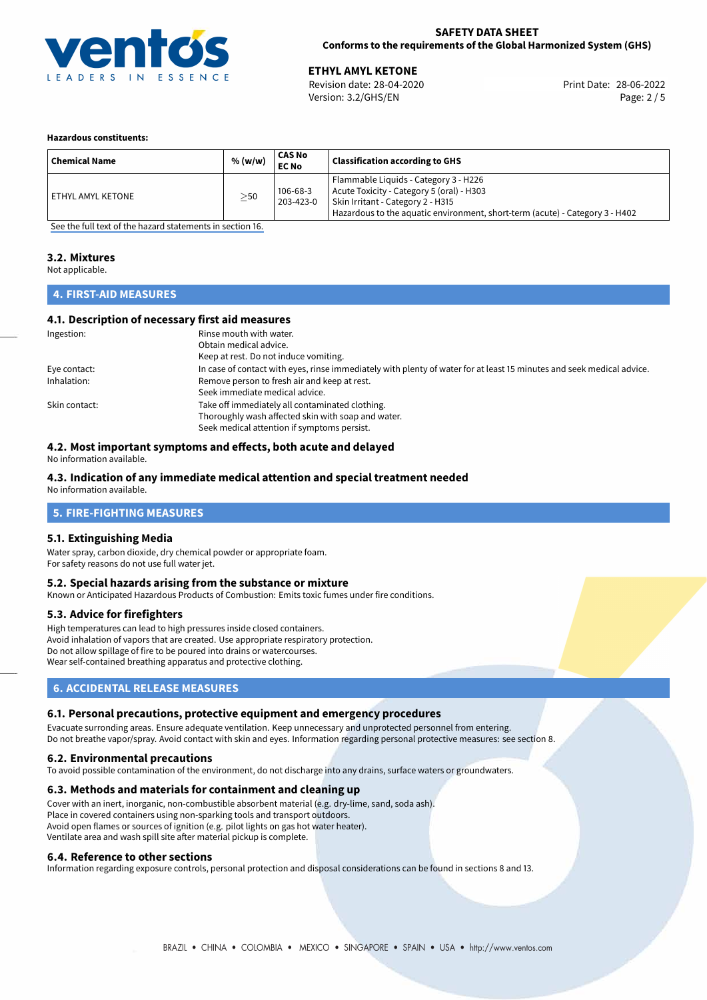

# **SAFETY DATA SHEET Conforms to the requirements of the Global Harmonized System (GHS)**

28-06-2022 **ETHYL AMYL KETONE** Revision date: 28-04-2020 Print Date: Version: 3.2/GHS/EN Page: 2 / 5

### **Hazardous constituents:**

| <b>Chemical Name</b> | % (w/w)   | CAS No<br><b>EC No</b> | <b>Classification according to GHS</b>                                                                                                                                                                  |
|----------------------|-----------|------------------------|---------------------------------------------------------------------------------------------------------------------------------------------------------------------------------------------------------|
| ETHYL AMYL KETONE    | $\geq$ 50 | 106-68-3<br>203-423-0  | Flammable Liquids - Category 3 - H226<br>Acute Toxicity - Category 5 (oral) - H303<br>Skin Irritant - Category 2 - H315<br>Hazardous to the aquatic environment, short-term (acute) - Category 3 - H402 |

[See the full text of the hazard statements in section 16.](#page-4-0)

# **3.2. Mixtures**

Not applicable.

# **4. FIRST-AID MEASURES**

# **4.1. Description of necessary first aid measures**

| Ingestion:    | Rinse mouth with water.<br>Obtain medical advice.<br>Keep at rest. Do not induce vomiting.                                                           |
|---------------|------------------------------------------------------------------------------------------------------------------------------------------------------|
| Eye contact:  | In case of contact with eyes, rinse immediately with plenty of water for at least 15 minutes and seek medical advice.                                |
| Inhalation:   | Remove person to fresh air and keep at rest.<br>Seek immediate medical advice.                                                                       |
| Skin contact: | Take off immediately all contaminated clothing.<br>Thoroughly wash affected skin with soap and water.<br>Seek medical attention if symptoms persist. |

# **4.2. Most important symptoms and effects, both acute and delayed**

No information available.

# **4.3. Indication of any immediate medical attention and special treatment needed**

No information available.

# **5. FIRE-FIGHTING MEASURES**

# **5.1. Extinguishing Media**

Water spray, carbon dioxide, dry chemical powder or appropriate foam. For safety reasons do not use full water jet.

### **5.2. Special hazards arising from the substance or mixture**

Known or Anticipated Hazardous Products of Combustion: Emits toxic fumes under fire conditions.

# **5.3. Advice for firefighters**

High temperatures can lead to high pressures inside closed containers. Avoid inhalation of vapors that are created. Use appropriate respiratory protection. Do not allow spillage of fire to be poured into drains or watercourses. Wear self-contained breathing apparatus and protective clothing.

# **6. ACCIDENTAL RELEASE MEASURES**

# **6.1. Personal precautions, protective equipment and emergency procedures**

Evacuate surronding areas. Ensure adequate ventilation. Keep unnecessary and unprotected personnel from entering. Do not breathe vapor/spray. Avoid contact with skin and eyes. Information regarding personal protective measures: see section 8.

# **6.2. Environmental precautions**

To avoid possible contamination of the environment, do not discharge into any drains, surface waters or groundwaters.

### **6.3. Methods and materials for containment and cleaning up**

Cover with an inert, inorganic, non-combustible absorbent material (e.g. dry-lime, sand, soda ash). Place in covered containers using non-sparking tools and transport outdoors. Avoid open flames or sources of ignition (e.g. pilot lights on gas hot water heater). Ventilate area and wash spill site after material pickup is complete.

### **6.4. Reference to other sections**

Information regarding exposure controls, personal protection and disposal considerations can be found in sections 8 and 13.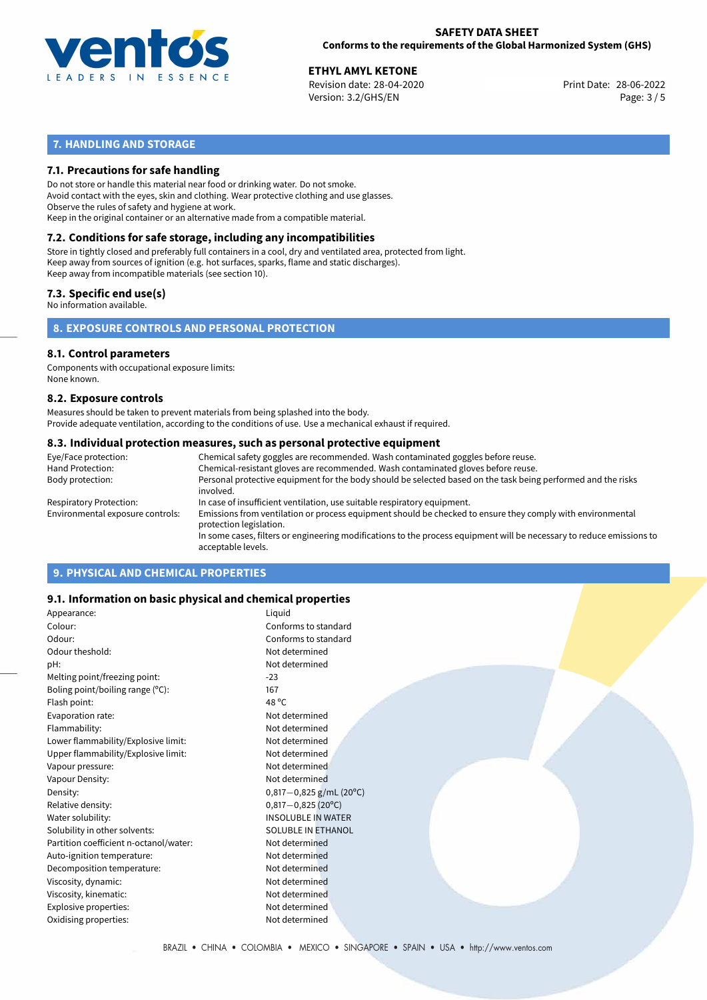

## **SAFETY DATA SHEET Conforms to the requirements of the Global Harmonized System (GHS)**

28-06-2022 **ETHYL AMYL KETONE** Revision date: 28-04-2020 Print Date: Version: 3.2/GHS/EN Page: 3 / 5

# **7. HANDLING AND STORAGE**

# **7.1. Precautions for safe handling**

Do not store or handle this material near food or drinking water. Do not smoke. Avoid contact with the eyes, skin and clothing. Wear protective clothing and use glasses. Observe the rules of safety and hygiene at work. Keep in the original container or an alternative made from a compatible material.

# **7.2. Conditions for safe storage, including any incompatibilities**

Store in tightly closed and preferably full containers in a cool, dry and ventilated area, protected from light. Keep away from sources of ignition (e.g. hot surfaces, sparks, flame and static discharges). Keep away from incompatible materials (see section 10).

# **7.3. Specific end use(s)**

No information available.

**8. EXPOSURE CONTROLS AND PERSONAL PROTECTION**

### **8.1. Control parameters**

Components with occupational exposure limits: None known.

### **8.2. Exposure controls**

Measures should be taken to prevent materials from being splashed into the body. Provide adequate ventilation, according to the conditions of use. Use a mechanical exhaust if required.

### **8.3. Individual protection measures, such as personal protective equipment**

| Eye/Face protection:             | Chemical safety goggles are recommended. Wash contaminated goggles before reuse.                                                            |
|----------------------------------|---------------------------------------------------------------------------------------------------------------------------------------------|
| Hand Protection:                 | Chemical-resistant gloves are recommended. Wash contaminated gloves before reuse.                                                           |
| Body protection:                 | Personal protective equipment for the body should be selected based on the task being performed and the risks<br>involved.                  |
| Respiratory Protection:          | In case of insufficient ventilation, use suitable respiratory equipment.                                                                    |
| Environmental exposure controls: | Emissions from ventilation or process equipment should be checked to ensure they comply with environmental<br>protection legislation.       |
|                                  | In some cases, filters or engineering modifications to the process equipment will be necessary to reduce emissions to<br>acceptable levels. |
|                                  |                                                                                                                                             |

# **9. PHYSICAL AND CHEMICAL PROPERTIES**

# **9.1. Information on basic physical and chemical properties**

| Appearance:                            | Liquid                     |
|----------------------------------------|----------------------------|
| Colour:                                | Conforms to standard       |
| Odour:                                 | Conforms to standard       |
| Odour theshold:                        | Not determined             |
| pH:                                    | Not determined             |
| Melting point/freezing point:          | $-23$                      |
| Boling point/boiling range $(°C)$ :    | 167                        |
| Flash point:                           | 48 °C                      |
| Evaporation rate:                      | Not determined             |
| Flammability:                          | Not determined             |
| Lower flammability/Explosive limit:    | Not determined             |
| Upper flammability/Explosive limit:    | Not determined             |
| Vapour pressure:                       | Not determined             |
| Vapour Density:                        | Not determined             |
| Density:                               | $0,817-0,825$ g/mL (20°C)  |
| Relative density:                      | $0,817-0,825(20^{\circ}C)$ |
| Water solubility:                      | <b>INSOLUBLE IN WATER</b>  |
| Solubility in other solvents:          | <b>SOLUBLE IN ETHANOL</b>  |
| Partition coefficient n-octanol/water: | Not determined             |
| Auto-ignition temperature:             | Not determined             |
| Decomposition temperature:             | Not determined             |
| Viscosity, dynamic:                    | Not determined             |
| Viscosity, kinematic:                  | Not determined             |
| Explosive properties:                  | Not determined             |
| Oxidising properties:                  | Not determined             |
|                                        |                            |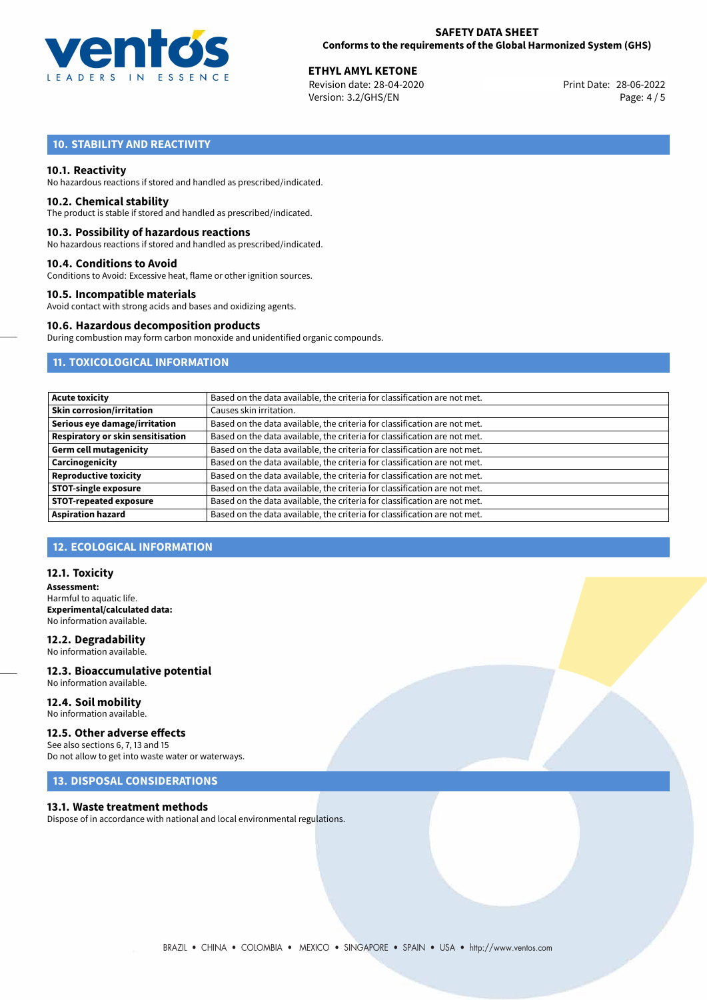

28-06-2022 **ETHYL AMYL KETONE** Revision date: 28-04-2020 Print Date: Version: 3.2/GHS/EN Page: 4 / 5

# **10. STABILITY AND REACTIVITY**

## **10.1. Reactivity**

No hazardous reactions if stored and handled as prescribed/indicated.

### **10.2. Chemical stability**

The product is stable if stored and handled as prescribed/indicated.

### **10.3. Possibility of hazardous reactions**

No hazardous reactions if stored and handled as prescribed/indicated.

### **10.4. Conditions to Avoid**

Conditions to Avoid: Excessive heat, flame or other ignition sources.

## **10.5. Incompatible materials**

Avoid contact with strong acids and bases and oxidizing agents.

# **10.6. Hazardous decomposition products**

During combustion may form carbon monoxide and unidentified organic compounds.

# **11. TOXICOLOGICAL INFORMATION**

| <b>Acute toxicity</b>             | Based on the data available, the criteria for classification are not met. |
|-----------------------------------|---------------------------------------------------------------------------|
| Skin corrosion/irritation         | Causes skin irritation.                                                   |
| Serious eye damage/irritation     | Based on the data available, the criteria for classification are not met. |
| Respiratory or skin sensitisation | Based on the data available, the criteria for classification are not met. |
| Germ cell mutagenicity            | Based on the data available, the criteria for classification are not met. |
| Carcinogenicity                   | Based on the data available, the criteria for classification are not met. |
| <b>Reproductive toxicity</b>      | Based on the data available, the criteria for classification are not met. |
| <b>STOT-single exposure</b>       | Based on the data available, the criteria for classification are not met. |
| <b>STOT-repeated exposure</b>     | Based on the data available, the criteria for classification are not met. |
| <b>Aspiration hazard</b>          | Based on the data available, the criteria for classification are not met. |

# **12. ECOLOGICAL INFORMATION**

## **12.1. Toxicity**

**Assessment:** Harmful to aquatic life. **Experimental/calculated data:** No information available.

### **12.2. Degradability** No information available.

**12.3. Bioaccumulative potential** No information available.

### **12.4. Soil mobility** No information available.

**12.5. Other adverse effects**

See also sections 6, 7, 13 and 15 Do not allow to get into waste water or waterways.

# **13. DISPOSAL CONSIDERATIONS**

### **13.1. Waste treatment methods**

Dispose of in accordance with national and local environmental regulations.